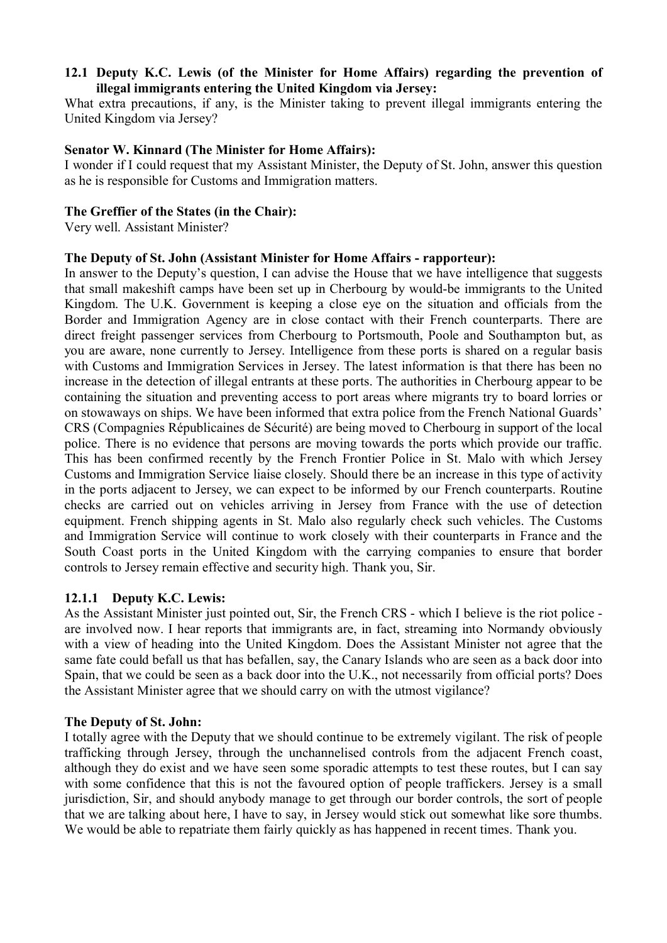# **12.1 Deputy K.C. Lewis (of the Minister for Home Affairs) regarding the prevention of illegal immigrants entering the United Kingdom via Jersey:**

What extra precautions, if any, is the Minister taking to prevent illegal immigrants entering the United Kingdom via Jersey?

# **Senator W. Kinnard (The Minister for Home Affairs):**

I wonder if I could request that my Assistant Minister, the Deputy of St. John, answer this question as he is responsible for Customs and Immigration matters.

# **The Greffier of the States (in the Chair):**

Very well. Assistant Minister?

## **The Deputy of St. John (Assistant Minister for Home Affairs - rapporteur):**

In answer to the Deputy's question, I can advise the House that we have intelligence that suggests that small makeshift camps have been set up in Cherbourg by would-be immigrants to the United Kingdom. The U.K. Government is keeping a close eye on the situation and officials from the Border and Immigration Agency are in close contact with their French counterparts. There are direct freight passenger services from Cherbourg to Portsmouth, Poole and Southampton but, as you are aware, none currently to Jersey. Intelligence from these ports is shared on a regular basis with Customs and Immigration Services in Jersey. The latest information is that there has been no increase in the detection of illegal entrants at these ports. The authorities in Cherbourg appear to be containing the situation and preventing access to port areas where migrants try to board lorries or on stowaways on ships. We have been informed that extra police from the French National Guards' CRS (Compagnies Républicaines de Sécurité) are being moved to Cherbourg in support of the local police. There is no evidence that persons are moving towards the ports which provide our traffic. This has been confirmed recently by the French Frontier Police in St. Malo with which Jersey Customs and Immigration Service liaise closely. Should there be an increase in this type of activity in the ports adjacent to Jersey, we can expect to be informed by our French counterparts. Routine checks are carried out on vehicles arriving in Jersey from France with the use of detection equipment. French shipping agents in St. Malo also regularly check such vehicles. The Customs and Immigration Service will continue to work closely with their counterparts in France and the South Coast ports in the United Kingdom with the carrying companies to ensure that border controls to Jersey remain effective and security high. Thank you, Sir.

# **12.1.1 Deputy K.C. Lewis:**

As the Assistant Minister just pointed out, Sir, the French CRS - which I believe is the riot police are involved now. I hear reports that immigrants are, in fact, streaming into Normandy obviously with a view of heading into the United Kingdom. Does the Assistant Minister not agree that the same fate could befall us that has befallen, say, the Canary Islands who are seen as a back door into Spain, that we could be seen as a back door into the U.K., not necessarily from official ports? Does the Assistant Minister agree that we should carry on with the utmost vigilance?

#### **The Deputy of St. John:**

I totally agree with the Deputy that we should continue to be extremely vigilant. The risk of people trafficking through Jersey, through the unchannelised controls from the adjacent French coast, although they do exist and we have seen some sporadic attempts to test these routes, but I can say with some confidence that this is not the favoured option of people traffickers. Jersey is a small jurisdiction, Sir, and should anybody manage to get through our border controls, the sort of people that we are talking about here, I have to say, in Jersey would stick out somewhat like sore thumbs. We would be able to repatriate them fairly quickly as has happened in recent times. Thank you.